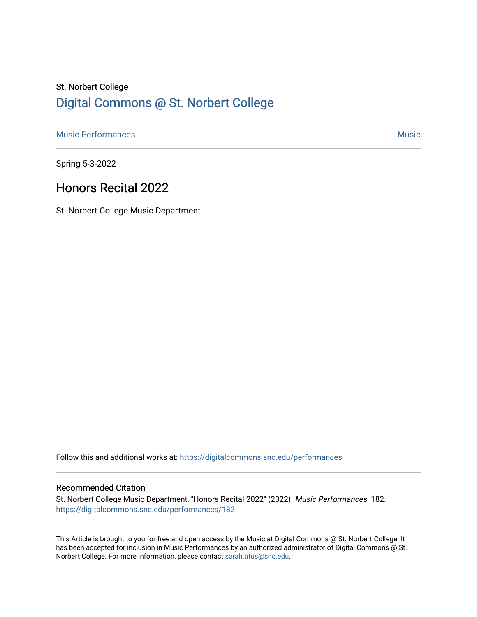# St. Norbert College [Digital Commons @ St. Norbert College](https://digitalcommons.snc.edu/)

[Music Performances](https://digitalcommons.snc.edu/performances) and the contract of the contract of the contract of the contract of the contract of the contract of the contract of the contract of the contract of the contract of the contract of the contract of the con

Spring 5-3-2022

### Honors Recital 2022

St. Norbert College Music Department

Follow this and additional works at: [https://digitalcommons.snc.edu/performances](https://digitalcommons.snc.edu/performances?utm_source=digitalcommons.snc.edu%2Fperformances%2F182&utm_medium=PDF&utm_campaign=PDFCoverPages)

#### Recommended Citation

St. Norbert College Music Department, "Honors Recital 2022" (2022). Music Performances. 182. [https://digitalcommons.snc.edu/performances/182](https://digitalcommons.snc.edu/performances/182?utm_source=digitalcommons.snc.edu%2Fperformances%2F182&utm_medium=PDF&utm_campaign=PDFCoverPages) 

This Article is brought to you for free and open access by the Music at Digital Commons @ St. Norbert College. It has been accepted for inclusion in Music Performances by an authorized administrator of Digital Commons @ St. Norbert College. For more information, please contact [sarah.titus@snc.edu](mailto:sarah.titus@snc.edu).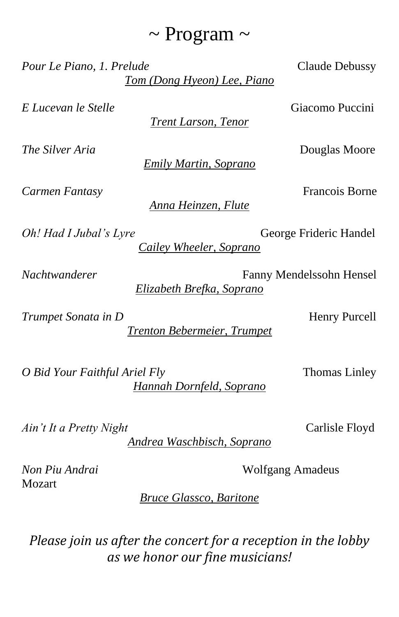# $\sim$  Program  $\sim$

Pour Le Piano, 1. Prelude Claude Debussy *Tom (Dong Hyeon) Lee, Piano*

*E Lucevan le Stelle* Giacomo Puccini

*Trent Larson, Tenor*

*The Silver Aria* Douglas Moore

*Emily Martin, Soprano*

*Carmen Fantasy* Francois Borne

*Anna Heinzen, Flute*

*Oh! Had I Jubal's Lyre* George Frideric Handel

*Nachtwanderer* Fanny Mendelssohn Hensel

*Elizabeth Brefka, Soprano*

*Trumpet Sonata in D* Henry Purcell

*Trenton Bebermeier, Trumpet*

*O Bid Your Faithful Ariel Fly* Thomas Linley *Hannah Dornfeld, Soprano*

*Ain't It a Pretty Night* Carlisle Floyd

*Andrea Waschbisch, Soprano*

Mozart

*Bruce Glassco, Baritone*

*Please join us after the concert for a reception in the lobby as we honor our fine musicians!*

*Cailey Wheeler, Soprano*

*Non Piu Andrai* Wolfgang Amadeus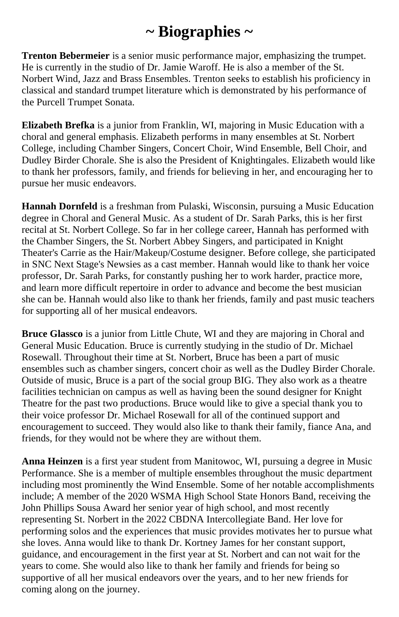# **~ Biographies ~**

**Trenton Bebermeier** is a senior music performance major, emphasizing the trumpet. He is currently in the studio of Dr. Jamie Waroff. He is also a member of the St. Norbert Wind, Jazz and Brass Ensembles. Trenton seeks to establish his proficiency in classical and standard trumpet literature which is demonstrated by his performance of the Purcell Trumpet Sonata.

**Elizabeth Brefka** is a junior from Franklin, WI, majoring in Music Education with a choral and general emphasis. Elizabeth performs in many ensembles at St. Norbert College, including Chamber Singers, Concert Choir, Wind Ensemble, Bell Choir, and Dudley Birder Chorale. She is also the President of Knightingales. Elizabeth would like to thank her professors, family, and friends for believing in her, and encouraging her to pursue her music endeavors.

**Hannah Dornfeld** is a freshman from Pulaski, Wisconsin, pursuing a Music Education degree in Choral and General Music. As a student of Dr. Sarah Parks, this is her first recital at St. Norbert College. So far in her college career, Hannah has performed with the Chamber Singers, the St. Norbert Abbey Singers, and participated in Knight Theater's Carrie as the Hair/Makeup/Costume designer. Before college, she participated in SNC Next Stage's Newsies as a cast member. Hannah would like to thank her voice professor, Dr. Sarah Parks, for constantly pushing her to work harder, practice more, and learn more difficult repertoire in order to advance and become the best musician she can be. Hannah would also like to thank her friends, family and past music teachers for supporting all of her musical endeavors.

**Bruce Glassco** is a junior from Little Chute, WI and they are majoring in Choral and General Music Education. Bruce is currently studying in the studio of Dr. Michael Rosewall. Throughout their time at St. Norbert, Bruce has been a part of music ensembles such as chamber singers, concert choir as well as the Dudley Birder Chorale. Outside of music, Bruce is a part of the social group BIG. They also work as a theatre facilities technician on campus as well as having been the sound designer for Knight Theatre for the past two productions. Bruce would like to give a special thank you to their voice professor Dr. Michael Rosewall for all of the continued support and encouragement to succeed. They would also like to thank their family, fiance Ana, and friends, for they would not be where they are without them.

**Anna Heinzen** is a first year student from Manitowoc, WI, pursuing a degree in Music Performance. She is a member of multiple ensembles throughout the music department including most prominently the Wind Ensemble. Some of her notable accomplishments include; A member of the 2020 WSMA High School State Honors Band, receiving the John Phillips Sousa Award her senior year of high school, and most recently representing St. Norbert in the 2022 CBDNA Intercollegiate Band. Her love for performing solos and the experiences that music provides motivates her to pursue what she loves. Anna would like to thank Dr. Kortney James for her constant support, guidance, and encouragement in the first year at St. Norbert and can not wait for the years to come. She would also like to thank her family and friends for being so supportive of all her musical endeavors over the years, and to her new friends for coming along on the journey.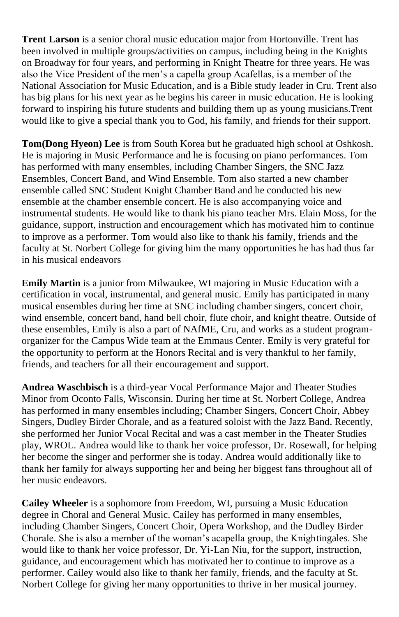**Trent Larson** is a senior choral music education major from Hortonville. Trent has been involved in multiple groups/activities on campus, including being in the Knights on Broadway for four years, and performing in Knight Theatre for three years. He was also the Vice President of the men's a capella group Acafellas, is a member of the National Association for Music Education, and is a Bible study leader in Cru. Trent also has big plans for his next year as he begins his career in music education. He is looking forward to inspiring his future students and building them up as young musicians.Trent would like to give a special thank you to God, his family, and friends for their support.

**Tom(Dong Hyeon) Lee** is from South Korea but he graduated high school at Oshkosh. He is majoring in Music Performance and he is focusing on piano performances. Tom has performed with many ensembles, including Chamber Singers, the SNC Jazz Ensembles, Concert Band, and Wind Ensemble. Tom also started a new chamber ensemble called SNC Student Knight Chamber Band and he conducted his new ensemble at the chamber ensemble concert. He is also accompanying voice and instrumental students. He would like to thank his piano teacher Mrs. Elain Moss, for the guidance, support, instruction and encouragement which has motivated him to continue to improve as a performer. Tom would also like to thank his family, friends and the faculty at St. Norbert College for giving him the many opportunities he has had thus far in his musical endeavors

**Emily Martin** is a junior from Milwaukee, WI majoring in Music Education with a certification in vocal, instrumental, and general music. Emily has participated in many musical ensembles during her time at SNC including chamber singers, concert choir, wind ensemble, concert band, hand bell choir, flute choir, and knight theatre. Outside of these ensembles, Emily is also a part of NAfME, Cru, and works as a student programorganizer for the Campus Wide team at the Emmaus Center. Emily is very grateful for the opportunity to perform at the Honors Recital and is very thankful to her family, friends, and teachers for all their encouragement and support.

**Andrea Waschbisch** is a third-year Vocal Performance Major and Theater Studies Minor from Oconto Falls, Wisconsin. During her time at St. Norbert College, Andrea has performed in many ensembles including; Chamber Singers, Concert Choir, Abbey Singers, Dudley Birder Chorale, and as a featured soloist with the Jazz Band. Recently, she performed her Junior Vocal Recital and was a cast member in the Theater Studies play, WROL. Andrea would like to thank her voice professor, Dr. Rosewall, for helping her become the singer and performer she is today. Andrea would additionally like to thank her family for always supporting her and being her biggest fans throughout all of her music endeavors.

**Cailey Wheeler** is a sophomore from Freedom, WI, pursuing a Music Education degree in Choral and General Music. Cailey has performed in many ensembles, including Chamber Singers, Concert Choir, Opera Workshop, and the Dudley Birder Chorale. She is also a member of the woman's acapella group, the Knightingales. She would like to thank her voice professor, Dr. Yi-Lan Niu, for the support, instruction, guidance, and encouragement which has motivated her to continue to improve as a performer. Cailey would also like to thank her family, friends, and the faculty at St. Norbert College for giving her many opportunities to thrive in her musical journey.